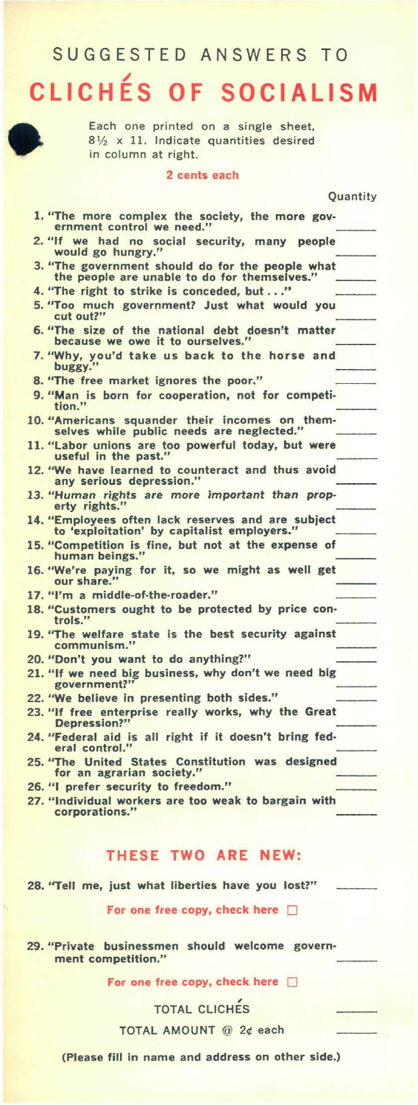## SUGGESTED ANSWERS TO

# **CLICHÉS OF SOCIALISM**



Each one printed on a single sheet,  $8\frac{1}{2}$  x 11. Indicate quantities desired in column at right.

#### 2 cents each

|                                                                                                  | Quantity |
|--------------------------------------------------------------------------------------------------|----------|
|                                                                                                  |          |
| 1. "The more complex the society, the more gov-<br>ernment control we need."                     |          |
| 2. "If we had no social security, many people<br>would go hungry."                               |          |
| 3. "The government should do for the people what<br>the people are unable to do for themselves." |          |
| 4. "The right to strike is conceded, but"                                                        |          |
| 5. "Too much government? Just what would you<br>cut out?"                                        |          |
| 6. "The size of the national debt doesn't matter<br>because we owe it to ourselves."             |          |
| 7. "Why, you'd take us back to the horse and<br>buggy."                                          |          |
| 8. "The free market ignores the poor."                                                           |          |
| 9. "Man is born for cooperation, not for competi-<br>tion."                                      |          |
| 10. "Americans squander their incomes on them-<br>selves while public needs are neglected."      |          |
| 11. "Labor unions are too powerful today, but were<br>useful in the past."                       |          |
| 12. "We have learned to counteract and thus avoid<br>any serious depression."                    |          |
|                                                                                                  |          |

- 13. "Human rights are more important than property rights."
- 14. "Employees often lack reserves and are subject to 'exploitation' by capitalist employers."
- 15. "Competition is fine, but not at the expense of **human beings."**
- 16. " We're paying for it, so we might as well get **our share."**
- 17. "I'm a middle·of-the-roader."

- 18. "Customers ought to be protected by price con**trols."**
- 19. "The welfare state is the best security against **communism."**
- 20. "Don't you want to do anything?"
- 21. "If we need big business, why don't we need big **government?"**
- 22. "We believe in presenting both sides."
- 23. "If free enterprise really works, why the Great **Depression?"**
- 24. "Federal aid is all right if it doesn't bring fed**eral control."**
- 25. "The United States Constitution was designed for an agrarian society.
- 26. "I prefer security to freedom."
- 27. "Individual workers are too weak to bargain with **corporations."**

### **THESE TWO ARE NEW:**

28. "Tell me, just what liberties have you lost?"

#### For one free copy, check here  $\Box$

29. "Private businessmen should welcome govern**ment competition."** 

For one free copy, check here  $\Box$ 

**TOTAL CLICHES** 

TOTAL AMOUNT @ 2¢ each

(Please fill in name and address on other side.)